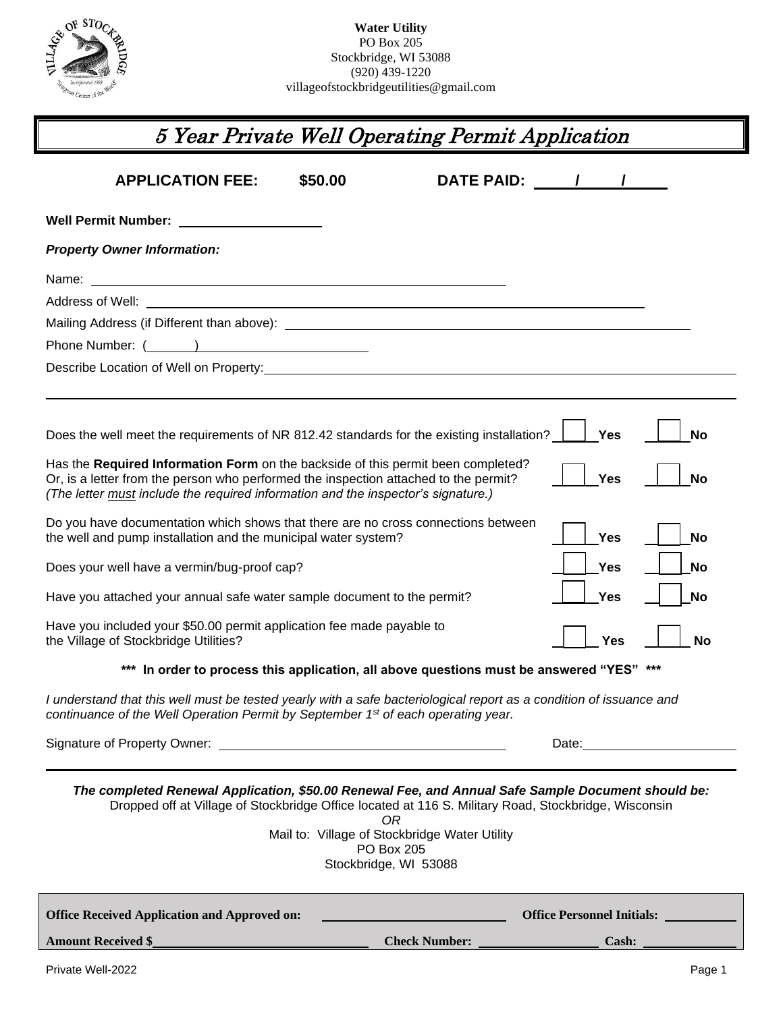

## 5 Year Private Well Operating Permit Application

| <b>APPLICATION FEE:</b>                                                                                                                                                                                                                                       | \$50.00 | DATE PAID: /                                                                               |            |                    |
|---------------------------------------------------------------------------------------------------------------------------------------------------------------------------------------------------------------------------------------------------------------|---------|--------------------------------------------------------------------------------------------|------------|--------------------|
| <b>Well Permit Number:</b>                                                                                                                                                                                                                                    |         |                                                                                            |            |                    |
| <b>Property Owner Information:</b>                                                                                                                                                                                                                            |         |                                                                                            |            |                    |
| Name:<br><u> 1989 - Johann Barn, amerikansk politiker (d. 1989)</u>                                                                                                                                                                                           |         |                                                                                            |            |                    |
|                                                                                                                                                                                                                                                               |         |                                                                                            |            |                    |
|                                                                                                                                                                                                                                                               |         |                                                                                            |            |                    |
|                                                                                                                                                                                                                                                               |         |                                                                                            |            |                    |
| Describe Location of Well on Property: Network and the Contract of Contract of Contract of Contract of Contract of Contract of Contract of Contract of Contract of Contract of Contract of Contract of Contract of Contract of                                |         |                                                                                            |            |                    |
|                                                                                                                                                                                                                                                               |         |                                                                                            |            |                    |
| Does the well meet the requirements of NR 812.42 standards for the existing installation?                                                                                                                                                                     |         |                                                                                            | <b>Yes</b> | <b>No</b>          |
| Has the Required Information Form on the backside of this permit been completed?<br>Or, is a letter from the person who performed the inspection attached to the permit?<br>(The letter must include the required information and the inspector's signature.) |         |                                                                                            | <b>Yes</b> | <b>No</b>          |
| Do you have documentation which shows that there are no cross connections between<br>the well and pump installation and the municipal water system?                                                                                                           |         |                                                                                            | <b>Yes</b> | <b>No</b>          |
| Does your well have a vermin/bug-proof cap?                                                                                                                                                                                                                   |         |                                                                                            | Yes        | <b>No</b>          |
| Have you attached your annual safe water sample document to the permit?                                                                                                                                                                                       |         |                                                                                            | <b>Yes</b> | <b>No</b>          |
| Have you included your \$50.00 permit application fee made payable to<br>the Village of Stockbridge Utilities?                                                                                                                                                |         |                                                                                            | Yes        | <b>No</b>          |
| *** In order to process this application, all above questions must be answered "YES" ***                                                                                                                                                                      |         |                                                                                            |            |                    |
| I understand that this well must be tested yearly with a safe bacteriological report as a condition of issuance and<br>continuance of the Well Operation Permit by September 1 <sup>st</sup> of each operating year.                                          |         |                                                                                            |            |                    |
|                                                                                                                                                                                                                                                               |         |                                                                                            |            | Date: <u>Date:</u> |
| The completed Renewal Application, \$50.00 Renewal Fee, and Annual Safe Sample Document should be:<br>Dropped off at Village of Stockbridge Office located at 116 S. Military Road, Stockbridge, Wisconsin                                                    |         | 0R<br>Mail to: Village of Stockbridge Water Utility<br>PO Box 205<br>Stockbridge, WI 53088 |            |                    |
| <b>Office Received Application and Approved on:</b>                                                                                                                                                                                                           |         |                                                                                            |            |                    |
| <b>Amount Received \$_</b>                                                                                                                                                                                                                                    |         | <b>Check Number:</b>                                                                       |            | Cash:              |